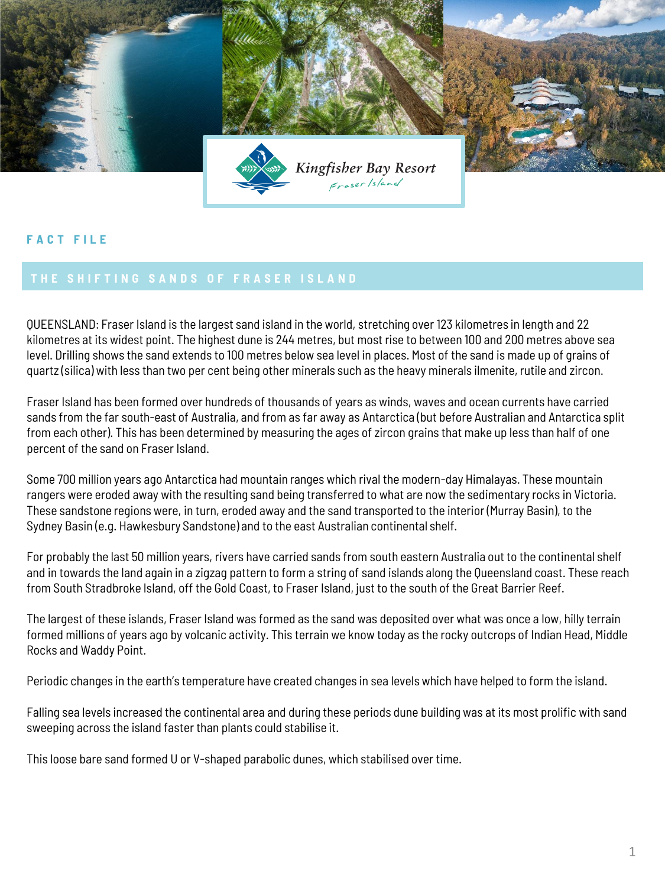

## **F A C T F I L E**

QUEENSLAND: Fraser Island is the largest sand island in the world, stretching over 123 kilometres in length and 22 kilometres at its widest point. The highest dune is 244 metres, but most rise to between 100 and 200 metres above sea level. Drilling shows the sand extends to 100 metres below sea level in places. Most of the sand is made up of grains of quartz (silica) with less than two per cent being other minerals such as the heavy minerals ilmenite, rutile and zircon.

Fraser Island has been formed over hundreds of thousands of years as winds, waves and ocean currents have carried sands from the far south-east of Australia, and from as far away as Antarctica (but before Australian and Antarctica split from each other). This has been determined by measuring the ages of zircon grains that make up less than half of one percent of the sand on Fraser Island.

Some 700 million years ago Antarctica had mountain ranges which rival the modern-day Himalayas. These mountain rangers were eroded away with the resulting sand being transferred to what are now the sedimentary rocks in Victoria. These sandstone regions were, in turn, eroded away and the sand transported to the interior (Murray Basin), to the Sydney Basin (e.g. Hawkesbury Sandstone) and to the east Australian continental shelf.

For probably the last 50 million years, rivers have carried sands from south eastern Australia out to the continental shelf and in towards the land again in a zigzag pattern to form a string of sand islands along the Queensland coast. These reach from South Stradbroke Island, off the Gold Coast, to Fraser Island, just to the south of the Great Barrier Reef.

The largest of these islands, Fraser Island was formed as the sand was deposited over what was once a low, hilly terrain formed millions of years ago by volcanic activity. This terrain we know today as the rocky outcrops of Indian Head, Middle Rocks and Waddy Point.

Periodic changes in the earth's temperature have created changes in sea levels which have helped to form the island.

Falling sea levels increased the continental area and during these periods dune building was at its most prolific with sand sweeping across the island faster than plants could stabilise it.

This loose bare sand formed U or V-shaped parabolic dunes, which stabilised over time.